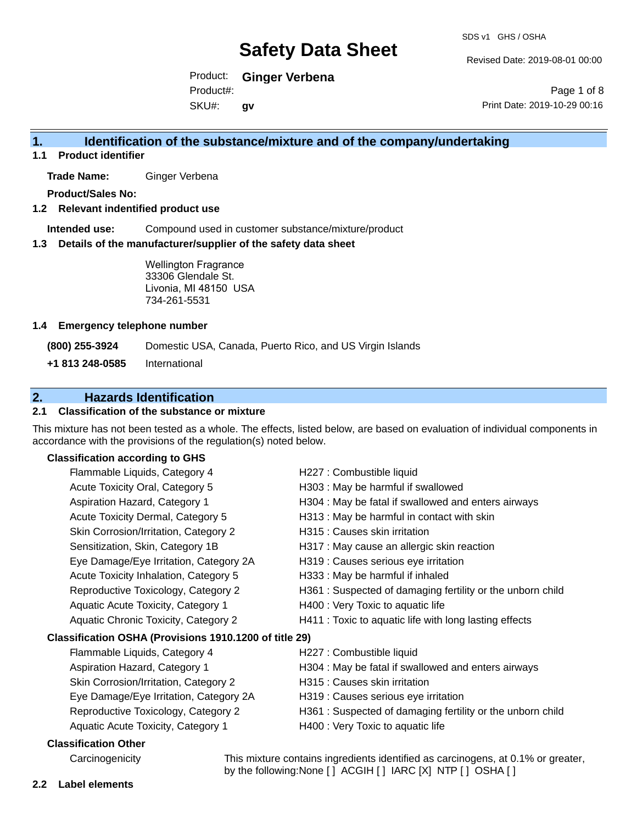Revised Date: 2019-08-01 00:00

Product: **Ginger Verbena**  Product#:

SKU#: **gv**

Page 1 of 8 Print Date: 2019-10-29 00:16

# **1. Identification of the substance/mixture and of the company/undertaking**

**1.1 Product identifier**

**Trade Name:** Ginger Verbena

**Product/Sales No:**

#### **1.2 Relevant indentified product use**

**Intended use:** Compound used in customer substance/mixture/product

#### **1.3 Details of the manufacturer/supplier of the safety data sheet**

Wellington Fragrance 33306 Glendale St. Livonia, MI 48150 USA 734-261-5531

#### **1.4 Emergency telephone number**

**(800) 255-3924** Domestic USA, Canada, Puerto Rico, and US Virgin Islands

**+1 813 248-0585** International

# **2. Hazards Identification**

### **2.1 Classification of the substance or mixture**

This mixture has not been tested as a whole. The effects, listed below, are based on evaluation of individual components in accordance with the provisions of the regulation(s) noted below.

#### **Classification according to GHS**

| Flammable Liquids, Category 4                          | H227 : Combustible liquid                                  |
|--------------------------------------------------------|------------------------------------------------------------|
| Acute Toxicity Oral, Category 5                        | H303 : May be harmful if swallowed                         |
| Aspiration Hazard, Category 1                          | H304 : May be fatal if swallowed and enters airways        |
| Acute Toxicity Dermal, Category 5                      | H313 : May be harmful in contact with skin                 |
| Skin Corrosion/Irritation, Category 2                  | H315 : Causes skin irritation                              |
| Sensitization, Skin, Category 1B                       | H317 : May cause an allergic skin reaction                 |
| Eye Damage/Eye Irritation, Category 2A                 | H319 : Causes serious eye irritation                       |
| Acute Toxicity Inhalation, Category 5                  | H333: May be harmful if inhaled                            |
| Reproductive Toxicology, Category 2                    | H361 : Suspected of damaging fertility or the unborn child |
| Aquatic Acute Toxicity, Category 1                     | H400 : Very Toxic to aquatic life                          |
| Aquatic Chronic Toxicity, Category 2                   | H411 : Toxic to aquatic life with long lasting effects     |
| Classification OSHA (Provisions 1910.1200 of title 29) |                                                            |
| Flammable Liquids, Category 4                          | H227 : Combustible liquid                                  |
| Aspiration Hazard, Category 1                          | H304 : May be fatal if swallowed and enters airways        |
| Skin Corrosion/Irritation, Category 2                  | H315 : Causes skin irritation                              |
| Eye Damage/Eye Irritation, Category 2A                 | H319 : Causes serious eye irritation                       |
| Reproductive Toxicology, Category 2                    | H361 : Suspected of damaging fertility or the unborn child |
| Aquatic Acute Toxicity, Category 1                     | H400 : Very Toxic to aquatic life                          |
| <b>Classification Other</b>                            |                                                            |

Carcinogenicity This mixture contains ingredients identified as carcinogens, at 0.1% or greater, by the following:None [ ] ACGIH [ ] IARC [X] NTP [ ] OSHA [ ]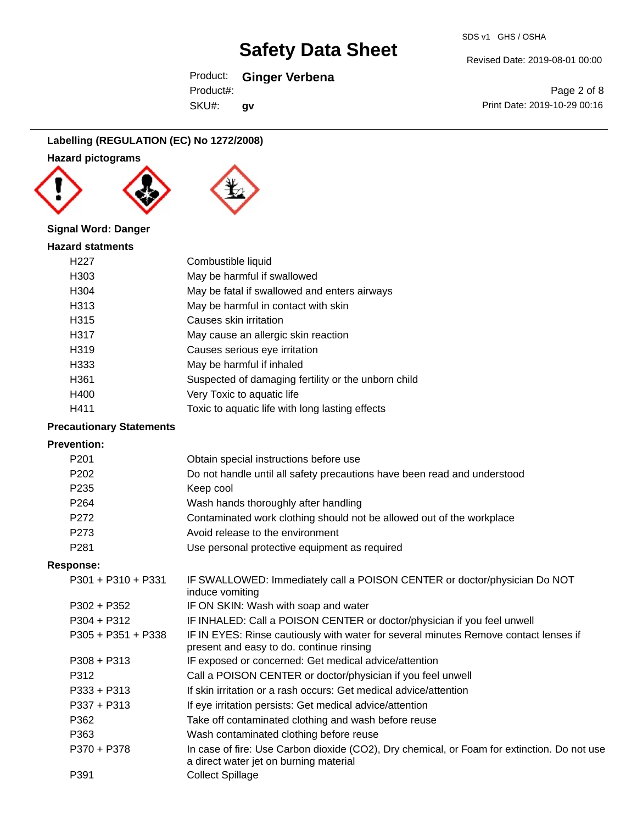## Product: **Ginger Verbena**

SKU#: Product#: **gv**

Page 2 of 8 Print Date: 2019-10-29 00:16

Revised Date: 2019-08-01 00:00

#### **Labelling (REGULATION (EC) No 1272/2008)**

**Hazard pictograms**



### **Signal Word: Danger**

| <b>Hazard statments</b> |                                                     |
|-------------------------|-----------------------------------------------------|
| H <sub>22</sub> 7       | Combustible liquid                                  |
| H303                    | May be harmful if swallowed                         |
| H304                    | May be fatal if swallowed and enters airways        |
| H313                    | May be harmful in contact with skin                 |
| H <sub>315</sub>        | Causes skin irritation                              |
| H317                    | May cause an allergic skin reaction                 |
| H <sub>3</sub> 19       | Causes serious eye irritation                       |
| H333                    | May be harmful if inhaled                           |
| H361                    | Suspected of damaging fertility or the unborn child |
| H400                    | Very Toxic to aquatic life                          |
| H411                    | Toxic to aquatic life with long lasting effects     |

## **Precautionary Statements**

#### **Prevention:**

| P <sub>201</sub>     | Obtain special instructions before use                                                                                           |
|----------------------|----------------------------------------------------------------------------------------------------------------------------------|
| P <sub>202</sub>     | Do not handle until all safety precautions have been read and understood                                                         |
| P <sub>235</sub>     | Keep cool                                                                                                                        |
| P <sub>264</sub>     | Wash hands thoroughly after handling                                                                                             |
| P272                 | Contaminated work clothing should not be allowed out of the workplace                                                            |
| P273                 | Avoid release to the environment                                                                                                 |
| P <sub>281</sub>     | Use personal protective equipment as required                                                                                    |
| Response:            |                                                                                                                                  |
| $P301 + P310 + P331$ | IF SWALLOWED: Immediately call a POISON CENTER or doctor/physician Do NOT<br>induce vomiting                                     |
| $P302 + P352$        | IF ON SKIN: Wash with soap and water                                                                                             |
| $P304 + P312$        | IF INHALED: Call a POISON CENTER or doctor/physician if you feel unwell                                                          |
| $P305 + P351 + P338$ | IF IN EYES: Rinse cautiously with water for several minutes Remove contact lenses if<br>present and easy to do. continue rinsing |
| $P308 + P313$        | IF exposed or concerned: Get medical advice/attention                                                                            |
| P312                 | Call a POISON CENTER or doctor/physician if you feel unwell                                                                      |

- P333 + P313 If skin irritation or a rash occurs: Get medical advice/attention
- P337 + P313 If eye irritation persists: Get medical advice/attention
- P362 Take off contaminated clothing and wash before reuse
- P363 Wash contaminated clothing before reuse
- P370 + P378 In case of fire: Use Carbon dioxide (CO2), Dry chemical, or Foam for extinction. Do not use a direct water jet on burning material P391 Collect Spillage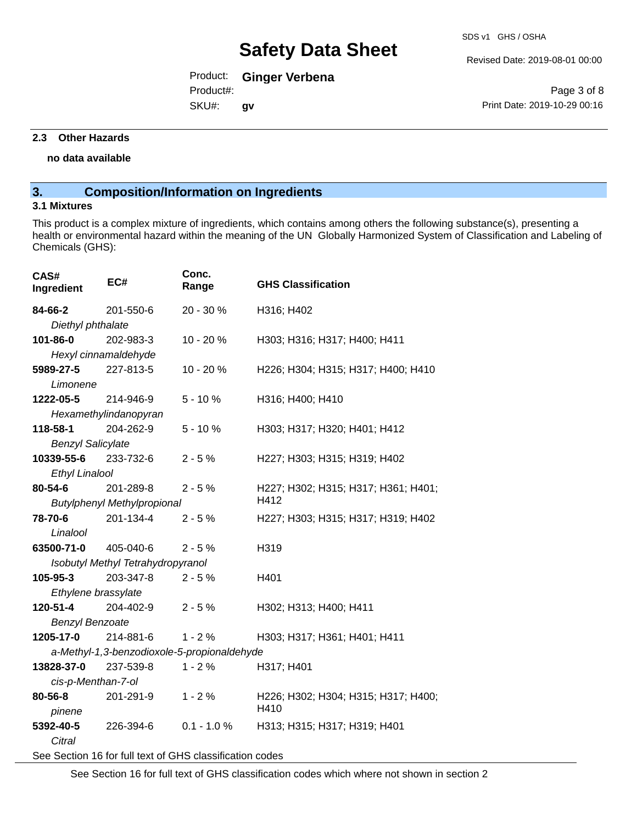Revised Date: 2019-08-01 00:00

# Product: **Ginger Verbena**

SKU#: Product#: **gv**

Page 3 of 8 Print Date: 2019-10-29 00:16

#### **2.3 Other Hazards**

#### **no data available**

# **3. Composition/Information on Ingredients**

#### **3.1 Mixtures**

This product is a complex mixture of ingredients, which contains among others the following substance(s), presenting a health or environmental hazard within the meaning of the UN Globally Harmonized System of Classification and Labeling of Chemicals (GHS):

| CAS#<br>Ingredient                                       | EC#                                         | Conc.<br>Range | <b>GHS Classification</b>                   |
|----------------------------------------------------------|---------------------------------------------|----------------|---------------------------------------------|
| 84-66-2                                                  | 201-550-6                                   | 20 - 30 %      | H316; H402                                  |
| Diethyl phthalate                                        |                                             |                |                                             |
| 101-86-0                                                 | 202-983-3                                   | 10 - 20 %      | H303; H316; H317; H400; H411                |
|                                                          | Hexyl cinnamaldehyde                        |                |                                             |
| 5989-27-5                                                | 227-813-5                                   | 10 - 20 %      | H226; H304; H315; H317; H400; H410          |
| Limonene                                                 |                                             |                |                                             |
| 1222-05-5                                                | 214-946-9                                   | $5 - 10%$      | H316; H400; H410                            |
|                                                          | Hexamethylindanopyran                       |                |                                             |
| 118-58-1                                                 | 204-262-9                                   | $5 - 10%$      | H303; H317; H320; H401; H412                |
| <b>Benzyl Salicylate</b>                                 |                                             |                |                                             |
| 10339-55-6                                               | 233-732-6                                   | $2 - 5%$       | H227; H303; H315; H319; H402                |
| <b>Ethyl Linalool</b>                                    |                                             |                |                                             |
| 80-54-6                                                  | 201-289-8                                   | $2 - 5%$       | H227; H302; H315; H317; H361; H401;         |
| H412<br><b>Butylphenyl Methylpropional</b>               |                                             |                |                                             |
| 78-70-6                                                  | 201-134-4                                   | $2 - 5%$       | H227; H303; H315; H317; H319; H402          |
| Linalool                                                 |                                             |                |                                             |
| 63500-71-0 405-040-6                                     |                                             | $2 - 5%$       | H319                                        |
| Isobutyl Methyl Tetrahydropyranol                        |                                             |                |                                             |
| 105-95-3                                                 | 203-347-8                                   | $2 - 5%$       | H401                                        |
| Ethylene brassylate                                      |                                             |                |                                             |
| 120-51-4                                                 | 204-402-9                                   | $2 - 5%$       | H302; H313; H400; H411                      |
| <b>Benzyl Benzoate</b>                                   |                                             |                |                                             |
| 1205-17-0                                                | 214-881-6                                   | $1 - 2%$       | H303; H317; H361; H401; H411                |
|                                                          | a-Methyl-1,3-benzodioxole-5-propionaldehyde |                |                                             |
| 13828-37-0                                               | 237-539-8                                   | $1 - 2%$       | H317; H401                                  |
| cis-p-Menthan-7-ol                                       |                                             |                |                                             |
| 80-56-8<br>pinene                                        | 201-291-9                                   | $1 - 2%$       | H226; H302; H304; H315; H317; H400;<br>H410 |
| 5392-40-5                                                | 226-394-6                                   | $0.1 - 1.0 %$  | H313; H315; H317; H319; H401                |
| Citral                                                   |                                             |                |                                             |
| See Section 16 for full text of GHS classification codes |                                             |                |                                             |

See Section 16 for full text of GHS classification codes which where not shown in section 2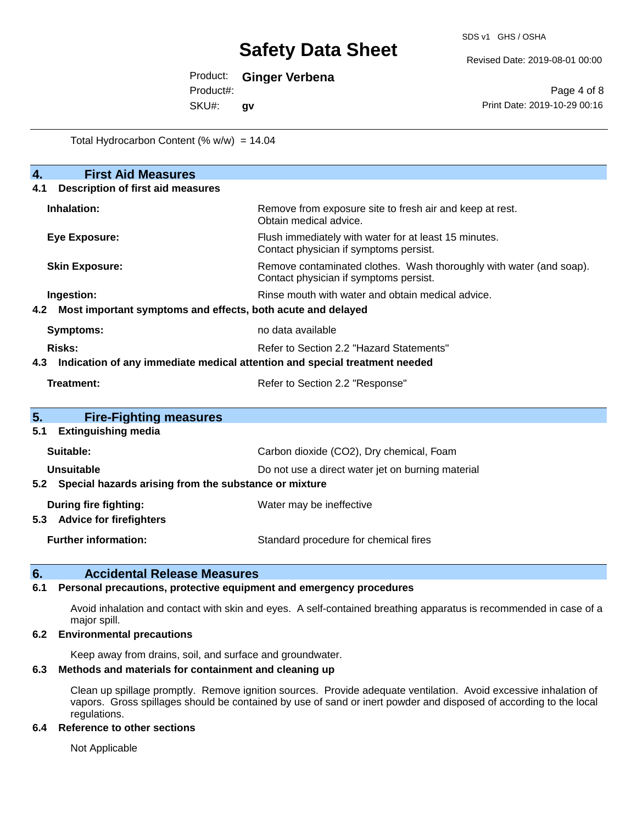Revised Date: 2019-08-01 00:00

Product: **Ginger Verbena** 

Product#:

SKU#: **gv**

Page 4 of 8 Print Date: 2019-10-29 00:16

Total Hydrocarbon Content  $(% \mathcal{O}_{N})$  = 14.04

| $\overline{4}$ .<br><b>First Aid Measures</b>                                     |                                                                                                               |  |
|-----------------------------------------------------------------------------------|---------------------------------------------------------------------------------------------------------------|--|
| <b>Description of first aid measures</b><br>4.1                                   |                                                                                                               |  |
| Inhalation:                                                                       | Remove from exposure site to fresh air and keep at rest.<br>Obtain medical advice.                            |  |
| <b>Eye Exposure:</b>                                                              | Flush immediately with water for at least 15 minutes.<br>Contact physician if symptoms persist.               |  |
| <b>Skin Exposure:</b>                                                             | Remove contaminated clothes. Wash thoroughly with water (and soap).<br>Contact physician if symptoms persist. |  |
| Ingestion:                                                                        | Rinse mouth with water and obtain medical advice.                                                             |  |
| Most important symptoms and effects, both acute and delayed<br>4.2                |                                                                                                               |  |
| <b>Symptoms:</b>                                                                  | no data available                                                                                             |  |
| Risks:                                                                            | Refer to Section 2.2 "Hazard Statements"                                                                      |  |
| Indication of any immediate medical attention and special treatment needed<br>4.3 |                                                                                                               |  |
| Treatment:                                                                        | Refer to Section 2.2 "Response"                                                                               |  |
| 5.<br><b>Fire-Fighting measures</b>                                               |                                                                                                               |  |
| <b>Extinguishing media</b><br>5.1                                                 |                                                                                                               |  |
| Suitable:                                                                         | Carbon dioxide (CO2), Dry chemical, Foam                                                                      |  |
| Unsuitable                                                                        | Do not use a direct water jet on burning material                                                             |  |
| Special hazards arising from the substance or mixture<br>5.2                      |                                                                                                               |  |
| <b>During fire fighting:</b>                                                      | Water may be ineffective                                                                                      |  |
| <b>Advice for firefighters</b><br>5.3                                             |                                                                                                               |  |
| <b>Further information:</b>                                                       | Standard procedure for chemical fires                                                                         |  |

## **6. Accidental Release Measures**

#### **6.1 Personal precautions, protective equipment and emergency procedures**

Avoid inhalation and contact with skin and eyes. A self-contained breathing apparatus is recommended in case of a major spill.

#### **6.2 Environmental precautions**

Keep away from drains, soil, and surface and groundwater.

### **6.3 Methods and materials for containment and cleaning up**

Clean up spillage promptly. Remove ignition sources. Provide adequate ventilation. Avoid excessive inhalation of vapors. Gross spillages should be contained by use of sand or inert powder and disposed of according to the local regulations.

#### **6.4 Reference to other sections**

Not Applicable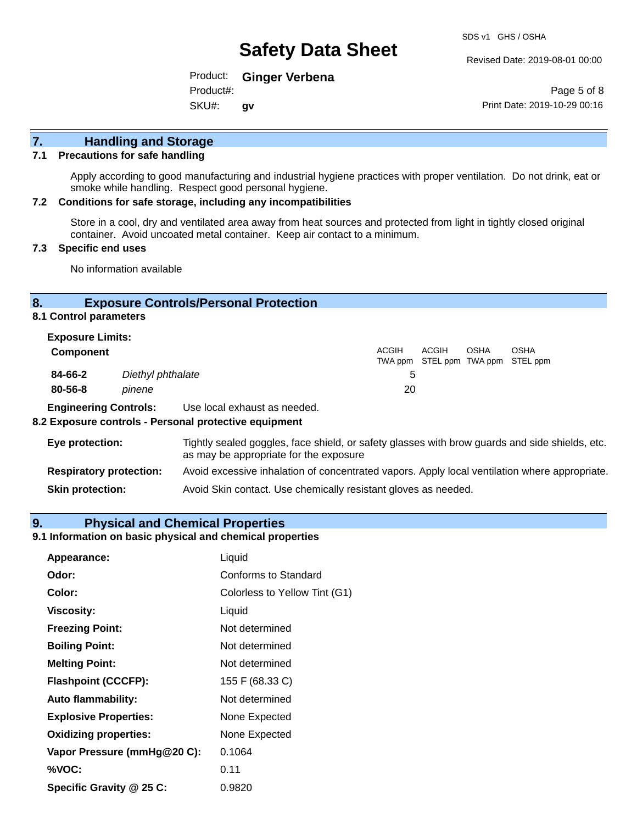Revised Date: 2019-08-01 00:00

Product: **Ginger Verbena**  Product#:

SKU#: **gv**

Page 5 of 8 Print Date: 2019-10-29 00:16

# **7. Handling and Storage**

#### **7.1 Precautions for safe handling**

Apply according to good manufacturing and industrial hygiene practices with proper ventilation. Do not drink, eat or smoke while handling. Respect good personal hygiene.

#### **7.2 Conditions for safe storage, including any incompatibilities**

Store in a cool, dry and ventilated area away from heat sources and protected from light in tightly closed original container. Avoid uncoated metal container. Keep air contact to a minimum.

#### **7.3 Specific end uses**

No information available

#### **8. Exposure Controls/Personal Protection**

**8.1 Control parameters**

| <b>Exposure Limits:</b> |                   |              |              |             |                                           |
|-------------------------|-------------------|--------------|--------------|-------------|-------------------------------------------|
| <b>Component</b>        |                   | <b>ACGIH</b> | <b>ACGIH</b> | <b>OSHA</b> | OSHA<br>TWA ppm STEL ppm TWA ppm STEL ppm |
| 84-66-2                 | Diethyl phthalate |              |              |             |                                           |
| $80 - 56 - 8$           | pinene            | 20           |              |             |                                           |
|                         |                   |              |              |             |                                           |

**Engineering Controls:** Use local exhaust as needed.

#### **8.2 Exposure controls - Personal protective equipment**

| Eye protection:                | Tightly sealed goggles, face shield, or safety glasses with brow guards and side shields, etc.<br>as may be appropriate for the exposure |
|--------------------------------|------------------------------------------------------------------------------------------------------------------------------------------|
| <b>Respiratory protection:</b> | Avoid excessive inhalation of concentrated vapors. Apply local ventilation where appropriate.                                            |
| <b>Skin protection:</b>        | Avoid Skin contact. Use chemically resistant gloves as needed.                                                                           |

#### **9. Physical and Chemical Properties**

#### **9.1 Information on basic physical and chemical properties**

| Appearance:                  | Liquid                        |
|------------------------------|-------------------------------|
| Odor:                        | Conforms to Standard          |
| Color:                       | Colorless to Yellow Tint (G1) |
| <b>Viscosity:</b>            | Liquid                        |
| <b>Freezing Point:</b>       | Not determined                |
| <b>Boiling Point:</b>        | Not determined                |
| <b>Melting Point:</b>        | Not determined                |
| <b>Flashpoint (CCCFP):</b>   | 155 F (68.33 C)               |
| <b>Auto flammability:</b>    | Not determined                |
| <b>Explosive Properties:</b> | None Expected                 |
| <b>Oxidizing properties:</b> | None Expected                 |
| Vapor Pressure (mmHg@20 C):  | 0.1064                        |
| %VOC:                        | 0.11                          |
| Specific Gravity @ 25 C:     | 0.9820                        |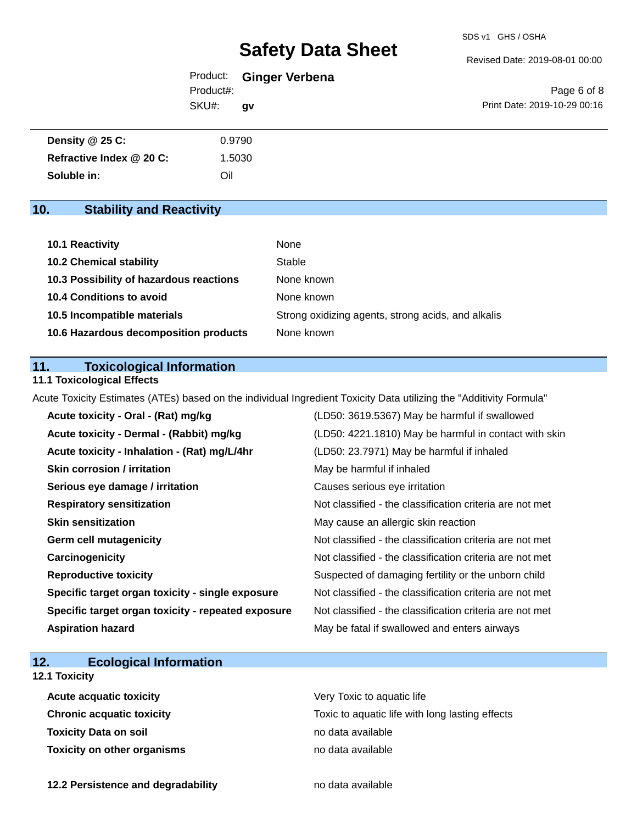Revised Date: 2019-08-01 00:00

| Product:  | <b>Ginger Verbena</b> |
|-----------|-----------------------|
| Product#: |                       |
| SKU#:     | qv                    |

Page 6 of 8 Print Date: 2019-10-29 00:16

| Density @ 25 C:          | 0.9790 |  |
|--------------------------|--------|--|
| Refractive Index @ 20 C: | 1.5030 |  |
| Soluble in:              | Oil    |  |

# **10. Stability and Reactivity**

| 10.1 Reactivity                         | None                                               |
|-----------------------------------------|----------------------------------------------------|
| <b>10.2 Chemical stability</b>          | Stable                                             |
| 10.3 Possibility of hazardous reactions | None known                                         |
| 10.4 Conditions to avoid                | None known                                         |
| 10.5 Incompatible materials             | Strong oxidizing agents, strong acids, and alkalis |
| 10.6 Hazardous decomposition products   | None known                                         |

## **11. Toxicological Information**

### **11.1 Toxicological Effects**

Acute Toxicity Estimates (ATEs) based on the individual Ingredient Toxicity Data utilizing the "Additivity Formula"

| Acute toxicity - Oral - (Rat) mg/kg                | (LD50: 3619.5367) May be harmful if swallowed            |
|----------------------------------------------------|----------------------------------------------------------|
| Acute toxicity - Dermal - (Rabbit) mg/kg           | (LD50: 4221.1810) May be harmful in contact with skin    |
| Acute toxicity - Inhalation - (Rat) mg/L/4hr       | (LD50: 23.7971) May be harmful if inhaled                |
| <b>Skin corrosion / irritation</b>                 | May be harmful if inhaled                                |
| Serious eye damage / irritation                    | Causes serious eye irritation                            |
| <b>Respiratory sensitization</b>                   | Not classified - the classification criteria are not met |
| <b>Skin sensitization</b>                          | May cause an allergic skin reaction                      |
| <b>Germ cell mutagenicity</b>                      | Not classified - the classification criteria are not met |
| Carcinogenicity                                    | Not classified - the classification criteria are not met |
| <b>Reproductive toxicity</b>                       | Suspected of damaging fertility or the unborn child      |
| Specific target organ toxicity - single exposure   | Not classified - the classification criteria are not met |
| Specific target organ toxicity - repeated exposure | Not classified - the classification criteria are not met |
| <b>Aspiration hazard</b>                           | May be fatal if swallowed and enters airways             |

# **12. Ecological Information**

# **12.1 Toxicity**

| <b>Acute acquatic toxicity</b>     | Very Toxic to aquatic life                      |
|------------------------------------|-------------------------------------------------|
| Chronic acquatic toxicity          | Toxic to aquatic life with long lasting effects |
| Toxicity Data on soil              | no data available                               |
| <b>Toxicity on other organisms</b> | no data available                               |

**12.2 Persistence and degradability no data available**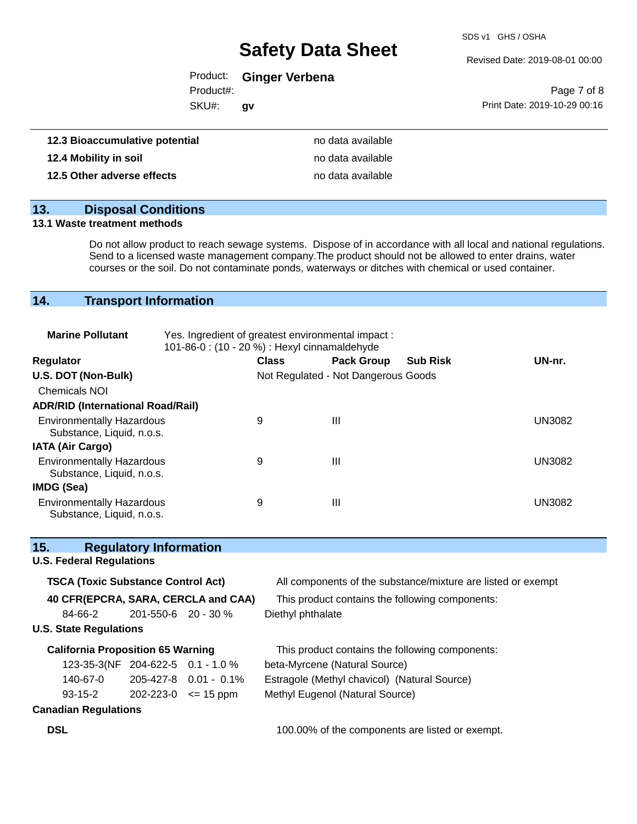SDS v1 GHS / OSHA

#### Revised Date: 2019-08-01 00:00

# Product: **Ginger Verbena**

Product#:

SKU#: **gv**

|                              | Page 7 of 8 |  |
|------------------------------|-------------|--|
| Print Date: 2019-10-29 00:16 |             |  |

| 12.3 Bioaccumulative potential | no data available |
|--------------------------------|-------------------|
| 12.4 Mobility in soil          | no data available |
| 12.5 Other adverse effects     | no data available |

# **13. Disposal Conditions**

#### **13.1 Waste treatment methods**

Do not allow product to reach sewage systems. Dispose of in accordance with all local and national regulations. Send to a licensed waste management company.The product should not be allowed to enter drains, water courses or the soil. Do not contaminate ponds, waterways or ditches with chemical or used container.

# **14. Transport Information**

| <b>Marine Pollutant</b>                                       | Yes. Ingredient of greatest environmental impact:<br>101-86-0: (10 - 20 %) : Hexyl cinnamaldehyde |              |                                     |                 |               |
|---------------------------------------------------------------|---------------------------------------------------------------------------------------------------|--------------|-------------------------------------|-----------------|---------------|
| <b>Regulator</b>                                              |                                                                                                   | <b>Class</b> | <b>Pack Group</b>                   | <b>Sub Risk</b> | UN-nr.        |
| U.S. DOT (Non-Bulk)                                           |                                                                                                   |              | Not Regulated - Not Dangerous Goods |                 |               |
| <b>Chemicals NOI</b>                                          |                                                                                                   |              |                                     |                 |               |
| <b>ADR/RID (International Road/Rail)</b>                      |                                                                                                   |              |                                     |                 |               |
| <b>Environmentally Hazardous</b><br>Substance, Liquid, n.o.s. |                                                                                                   | 9            | Ш                                   |                 | UN3082        |
| <b>IATA (Air Cargo)</b>                                       |                                                                                                   |              |                                     |                 |               |
| <b>Environmentally Hazardous</b><br>Substance, Liquid, n.o.s. |                                                                                                   | 9            | Ш                                   |                 | <b>UN3082</b> |
| IMDG (Sea)                                                    |                                                                                                   |              |                                     |                 |               |
| <b>Environmentally Hazardous</b><br>Substance, Liquid, n.o.s. |                                                                                                   | 9            | Ш                                   |                 | UN3082        |

## **15. Regulatory Information**

#### **U.S. Federal Regulations**

| <b>TSCA (Toxic Substance Control Act)</b> |                     |                         | All components of the substance/mixture are listed or exempt |  |  |
|-------------------------------------------|---------------------|-------------------------|--------------------------------------------------------------|--|--|
| 40 CFR(EPCRA, SARA, CERCLA and CAA)       |                     |                         | This product contains the following components:              |  |  |
| 84-66-2                                   | 201-550-6 20 - 30 % |                         | Diethyl phthalate                                            |  |  |
| <b>U.S. State Regulations</b>             |                     |                         |                                                              |  |  |
| <b>California Proposition 65 Warning</b>  |                     |                         | This product contains the following components:              |  |  |
| 123-35-3(NF 204-622-5 0.1 - 1.0 %         |                     |                         | beta-Myrcene (Natural Source)                                |  |  |
| 140-67-0                                  |                     | $205-427-8$ 0.01 - 0.1% | Estragole (Methyl chavicol) (Natural Source)                 |  |  |
| $93 - 15 - 2$                             | 202-223-0           | $\leq$ 15 ppm           | Methyl Eugenol (Natural Source)                              |  |  |
| <b>Canadian Regulations</b>               |                     |                         |                                                              |  |  |

**DSL DSL** 100.00% of the components are listed or exempt.